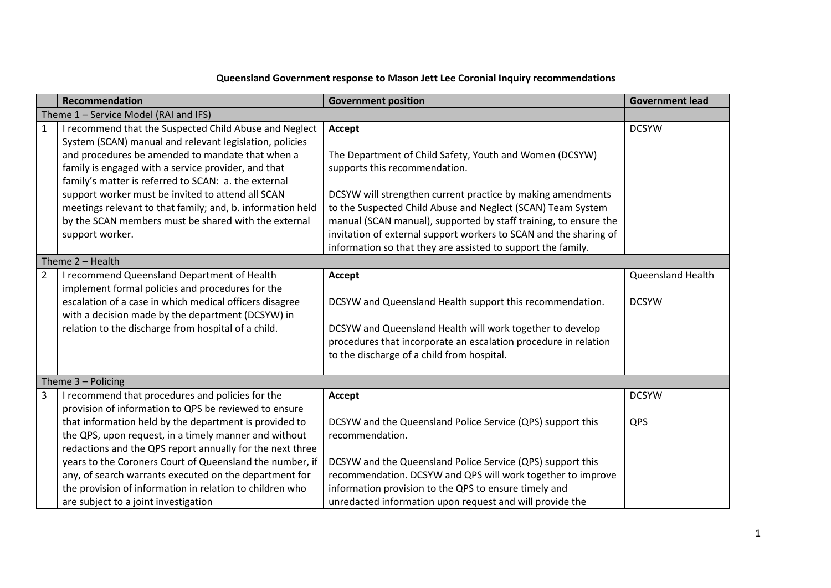## **Queensland Government response to Mason Jett Lee Coronial Inquiry recommendations**

|                                       | <b>Recommendation</b>                                                                                             | <b>Government position</b>                                        | <b>Government lead</b>   |  |  |  |  |
|---------------------------------------|-------------------------------------------------------------------------------------------------------------------|-------------------------------------------------------------------|--------------------------|--|--|--|--|
| Theme 1 - Service Model (RAI and IFS) |                                                                                                                   |                                                                   |                          |  |  |  |  |
| $\mathbf{1}$                          | I recommend that the Suspected Child Abuse and Neglect<br>System (SCAN) manual and relevant legislation, policies | Accept                                                            | <b>DCSYW</b>             |  |  |  |  |
|                                       | and procedures be amended to mandate that when a                                                                  | The Department of Child Safety, Youth and Women (DCSYW)           |                          |  |  |  |  |
|                                       | family is engaged with a service provider, and that<br>family's matter is referred to SCAN: a. the external       | supports this recommendation.                                     |                          |  |  |  |  |
|                                       | support worker must be invited to attend all SCAN                                                                 | DCSYW will strengthen current practice by making amendments       |                          |  |  |  |  |
|                                       | meetings relevant to that family; and, b. information held                                                        | to the Suspected Child Abuse and Neglect (SCAN) Team System       |                          |  |  |  |  |
|                                       | by the SCAN members must be shared with the external                                                              | manual (SCAN manual), supported by staff training, to ensure the  |                          |  |  |  |  |
|                                       | support worker.                                                                                                   | invitation of external support workers to SCAN and the sharing of |                          |  |  |  |  |
|                                       |                                                                                                                   | information so that they are assisted to support the family.      |                          |  |  |  |  |
|                                       | Theme $2 -$ Health                                                                                                |                                                                   |                          |  |  |  |  |
| $\overline{2}$                        | I recommend Queensland Department of Health                                                                       | Accept                                                            | <b>Queensland Health</b> |  |  |  |  |
|                                       | implement formal policies and procedures for the                                                                  |                                                                   |                          |  |  |  |  |
|                                       | escalation of a case in which medical officers disagree<br>with a decision made by the department (DCSYW) in      | DCSYW and Queensland Health support this recommendation.          | <b>DCSYW</b>             |  |  |  |  |
|                                       | relation to the discharge from hospital of a child.                                                               | DCSYW and Queensland Health will work together to develop         |                          |  |  |  |  |
|                                       |                                                                                                                   | procedures that incorporate an escalation procedure in relation   |                          |  |  |  |  |
|                                       |                                                                                                                   | to the discharge of a child from hospital.                        |                          |  |  |  |  |
|                                       |                                                                                                                   |                                                                   |                          |  |  |  |  |
|                                       | Theme $3 -$ Policing                                                                                              |                                                                   |                          |  |  |  |  |
| 3                                     | I recommend that procedures and policies for the                                                                  | Accept                                                            | <b>DCSYW</b>             |  |  |  |  |
|                                       | provision of information to QPS be reviewed to ensure                                                             |                                                                   |                          |  |  |  |  |
|                                       | that information held by the department is provided to                                                            | DCSYW and the Queensland Police Service (QPS) support this        | QPS                      |  |  |  |  |
|                                       | the QPS, upon request, in a timely manner and without                                                             | recommendation.                                                   |                          |  |  |  |  |
|                                       | redactions and the QPS report annually for the next three                                                         |                                                                   |                          |  |  |  |  |
|                                       | years to the Coroners Court of Queensland the number, if                                                          | DCSYW and the Queensland Police Service (QPS) support this        |                          |  |  |  |  |
|                                       | any, of search warrants executed on the department for                                                            | recommendation. DCSYW and QPS will work together to improve       |                          |  |  |  |  |
|                                       | the provision of information in relation to children who                                                          | information provision to the QPS to ensure timely and             |                          |  |  |  |  |
|                                       | are subject to a joint investigation                                                                              | unredacted information upon request and will provide the          |                          |  |  |  |  |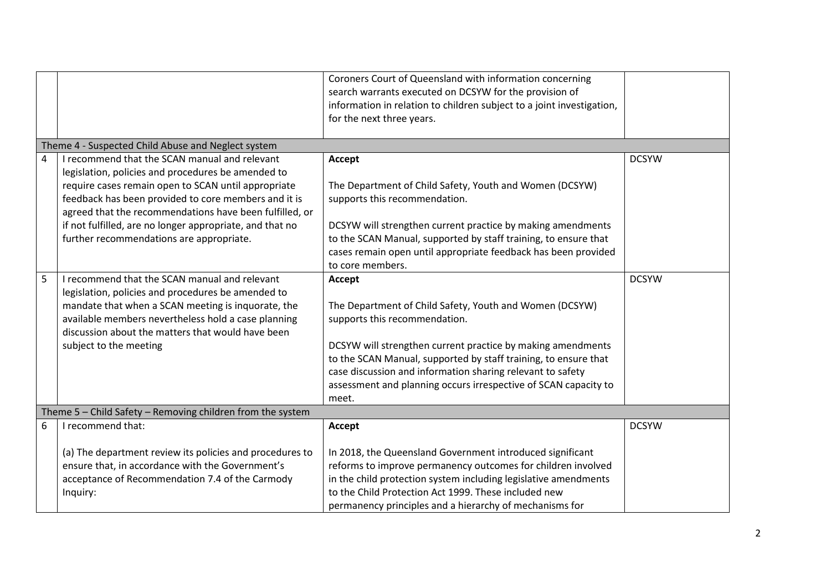|   |                                                            | Coroners Court of Queensland with information concerning              |              |  |  |  |  |  |
|---|------------------------------------------------------------|-----------------------------------------------------------------------|--------------|--|--|--|--|--|
|   |                                                            | search warrants executed on DCSYW for the provision of                |              |  |  |  |  |  |
|   |                                                            | information in relation to children subject to a joint investigation, |              |  |  |  |  |  |
|   |                                                            | for the next three years.                                             |              |  |  |  |  |  |
|   |                                                            |                                                                       |              |  |  |  |  |  |
|   | Theme 4 - Suspected Child Abuse and Neglect system         |                                                                       |              |  |  |  |  |  |
| 4 | I recommend that the SCAN manual and relevant              | Accept                                                                | <b>DCSYW</b> |  |  |  |  |  |
|   | legislation, policies and procedures be amended to         |                                                                       |              |  |  |  |  |  |
|   | require cases remain open to SCAN until appropriate        | The Department of Child Safety, Youth and Women (DCSYW)               |              |  |  |  |  |  |
|   | feedback has been provided to core members and it is       | supports this recommendation.                                         |              |  |  |  |  |  |
|   | agreed that the recommendations have been fulfilled, or    |                                                                       |              |  |  |  |  |  |
|   | if not fulfilled, are no longer appropriate, and that no   | DCSYW will strengthen current practice by making amendments           |              |  |  |  |  |  |
|   | further recommendations are appropriate.                   | to the SCAN Manual, supported by staff training, to ensure that       |              |  |  |  |  |  |
|   |                                                            | cases remain open until appropriate feedback has been provided        |              |  |  |  |  |  |
|   |                                                            | to core members.                                                      |              |  |  |  |  |  |
| 5 | I recommend that the SCAN manual and relevant              | Accept                                                                | <b>DCSYW</b> |  |  |  |  |  |
|   | legislation, policies and procedures be amended to         |                                                                       |              |  |  |  |  |  |
|   | mandate that when a SCAN meeting is inquorate, the         | The Department of Child Safety, Youth and Women (DCSYW)               |              |  |  |  |  |  |
|   | available members nevertheless hold a case planning        | supports this recommendation.                                         |              |  |  |  |  |  |
|   | discussion about the matters that would have been          |                                                                       |              |  |  |  |  |  |
|   | subject to the meeting                                     | DCSYW will strengthen current practice by making amendments           |              |  |  |  |  |  |
|   |                                                            | to the SCAN Manual, supported by staff training, to ensure that       |              |  |  |  |  |  |
|   |                                                            | case discussion and information sharing relevant to safety            |              |  |  |  |  |  |
|   |                                                            | assessment and planning occurs irrespective of SCAN capacity to       |              |  |  |  |  |  |
|   |                                                            | meet.                                                                 |              |  |  |  |  |  |
|   | Theme 5 - Child Safety - Removing children from the system |                                                                       |              |  |  |  |  |  |
| 6 | I recommend that:                                          | Accept                                                                | <b>DCSYW</b> |  |  |  |  |  |
|   | (a) The department review its policies and procedures to   | In 2018, the Queensland Government introduced significant             |              |  |  |  |  |  |
|   | ensure that, in accordance with the Government's           | reforms to improve permanency outcomes for children involved          |              |  |  |  |  |  |
|   | acceptance of Recommendation 7.4 of the Carmody            | in the child protection system including legislative amendments       |              |  |  |  |  |  |
|   | Inquiry:                                                   | to the Child Protection Act 1999. These included new                  |              |  |  |  |  |  |
|   |                                                            | permanency principles and a hierarchy of mechanisms for               |              |  |  |  |  |  |
|   |                                                            |                                                                       |              |  |  |  |  |  |